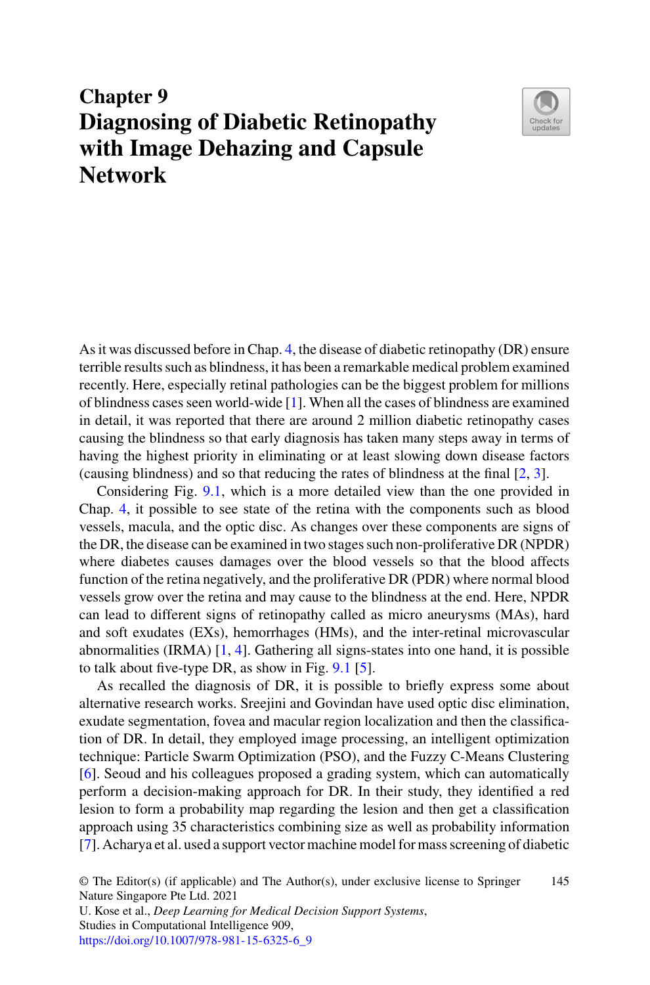# **Chapter 9 Diagnosing of Diabetic Retinopathy with Image Dehazing and Capsule Network**



As it was discussed before in Chap. 4, the disease of diabetic retinopathy (DR) ensure terrible results such as blindness, it has been a remarkable medical problem examined recently. Here, especially retinal pathologies can be the biggest problem for millions of blindness cases seen world-wide [\[1\]](#page-8-0). When all the cases of blindness are examined in detail, it was reported that there are around 2 million diabetic retinopathy cases causing the blindness so that early diagnosis has taken many steps away in terms of having the highest priority in eliminating or at least slowing down disease factors (causing blindness) and so that reducing the rates of blindness at the final [\[2,](#page-8-1) [3\]](#page-8-2).

Considering Fig. [9.1,](#page-1-0) which is a more detailed view than the one provided in Chap. 4, it possible to see state of the retina with the components such as blood vessels, macula, and the optic disc. As changes over these components are signs of the DR, the disease can be examined in two stages such non-proliferative DR (NPDR) where diabetes causes damages over the blood vessels so that the blood affects function of the retina negatively, and the proliferative DR (PDR) where normal blood vessels grow over the retina and may cause to the blindness at the end. Here, NPDR can lead to different signs of retinopathy called as micro aneurysms (MAs), hard and soft exudates (EXs), hemorrhages (HMs), and the inter-retinal microvascular abnormalities (IRMA) [\[1,](#page-8-0) [4\]](#page-8-3). Gathering all signs-states into one hand, it is possible to talk about five-type DR, as show in Fig. [9.1](#page-1-0) [\[5\]](#page-8-4).

As recalled the diagnosis of DR, it is possible to briefly express some about alternative research works. Sreejini and Govindan have used optic disc elimination, exudate segmentation, fovea and macular region localization and then the classification of DR. In detail, they employed image processing, an intelligent optimization technique: Particle Swarm Optimization (PSO), and the Fuzzy C-Means Clustering [\[6\]](#page-8-5). Seoud and his colleagues proposed a grading system, which can automatically perform a decision-making approach for DR. In their study, they identified a red lesion to form a probability map regarding the lesion and then get a classification approach using 35 characteristics combining size as well as probability information [\[7\]](#page-8-6). Acharya et al. used a support vector machine model for mass screening of diabetic

<sup>©</sup> The Editor(s) (if applicable) and The Author(s), under exclusive license to Springer Nature Singapore Pte Ltd. 2021 145

U. Kose et al., *Deep Learning for Medical Decision Support Systems*, Studies in Computational Intelligence 909, [https://doi.org/10.1007/978-981-15-6325-6\\_9](https://doi.org/10.1007/978-981-15-6325-6_9)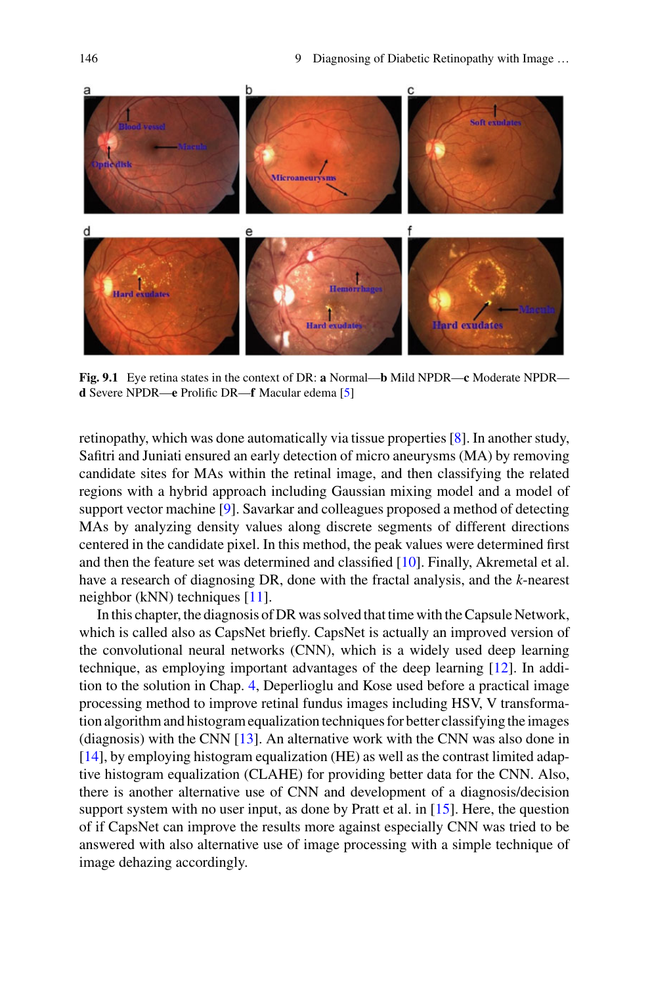

<span id="page-1-0"></span>**Fig. 9.1** Eye retina states in the context of DR: **a** Normal—**b** Mild NPDR—**c** Moderate NPDR **d** Severe NPDR—**e** Prolific DR—**f** Macular edema [\[5\]](#page-8-4)

retinopathy, which was done automatically via tissue properties [\[8\]](#page-8-7). In another study, Safitri and Juniati ensured an early detection of micro aneurysms (MA) by removing candidate sites for MAs within the retinal image, and then classifying the related regions with a hybrid approach including Gaussian mixing model and a model of support vector machine [\[9\]](#page-8-8). Savarkar and colleagues proposed a method of detecting MAs by analyzing density values along discrete segments of different directions centered in the candidate pixel. In this method, the peak values were determined first and then the feature set was determined and classified [\[10\]](#page-8-9). Finally, Akremetal et al. have a research of diagnosing DR, done with the fractal analysis, and the *k*-nearest neighbor (kNN) techniques [\[11\]](#page-8-10).

In this chapter, the diagnosis of DR was solved that time with the Capsule Network, which is called also as CapsNet briefly. CapsNet is actually an improved version of the convolutional neural networks (CNN), which is a widely used deep learning technique, as employing important advantages of the deep learning [\[12\]](#page-8-11). In addition to the solution in Chap. 4, Deperlioglu and Kose used before a practical image processing method to improve retinal fundus images including HSV, V transformation algorithm and histogram equalization techniques for better classifying the images (diagnosis) with the CNN [\[13\]](#page-8-12). An alternative work with the CNN was also done in [\[14\]](#page-9-0), by employing histogram equalization (HE) as well as the contrast limited adaptive histogram equalization (CLAHE) for providing better data for the CNN. Also, there is another alternative use of CNN and development of a diagnosis/decision support system with no user input, as done by Pratt et al. in [\[15\]](#page-9-1). Here, the question of if CapsNet can improve the results more against especially CNN was tried to be answered with also alternative use of image processing with a simple technique of image dehazing accordingly.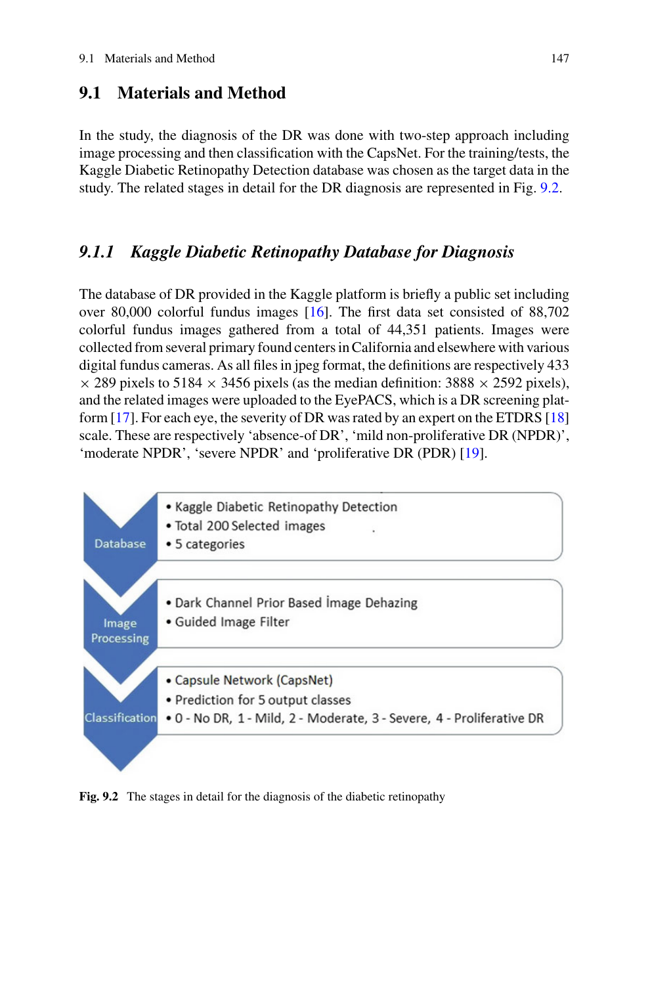## **9.1 Materials and Method**

In the study, the diagnosis of the DR was done with two-step approach including image processing and then classification with the CapsNet. For the training/tests, the Kaggle Diabetic Retinopathy Detection database was chosen as the target data in the study. The related stages in detail for the DR diagnosis are represented in Fig. [9.2.](#page-2-0)

#### *9.1.1 Kaggle Diabetic Retinopathy Database for Diagnosis*

The database of DR provided in the Kaggle platform is briefly a public set including over 80,000 colorful fundus images [\[16\]](#page-9-2). The first data set consisted of 88,702 colorful fundus images gathered from a total of 44,351 patients. Images were collected from several primary found centers in California and elsewhere with various digital fundus cameras. As all files in jpeg format, the definitions are respectively 433  $\times$  289 pixels to 5184  $\times$  3456 pixels (as the median definition: 3888  $\times$  2592 pixels), and the related images were uploaded to the EyePACS, which is a DR screening platform [\[17\]](#page-9-3). For each eye, the severity of DR was rated by an expert on the ETDRS [\[18\]](#page-9-4) scale. These are respectively 'absence-of DR', 'mild non-proliferative DR (NPDR)', 'moderate NPDR', 'severe NPDR' and 'proliferative DR (PDR) [\[19\]](#page-9-5).



<span id="page-2-0"></span>**Fig. 9.2** The stages in detail for the diagnosis of the diabetic retinopathy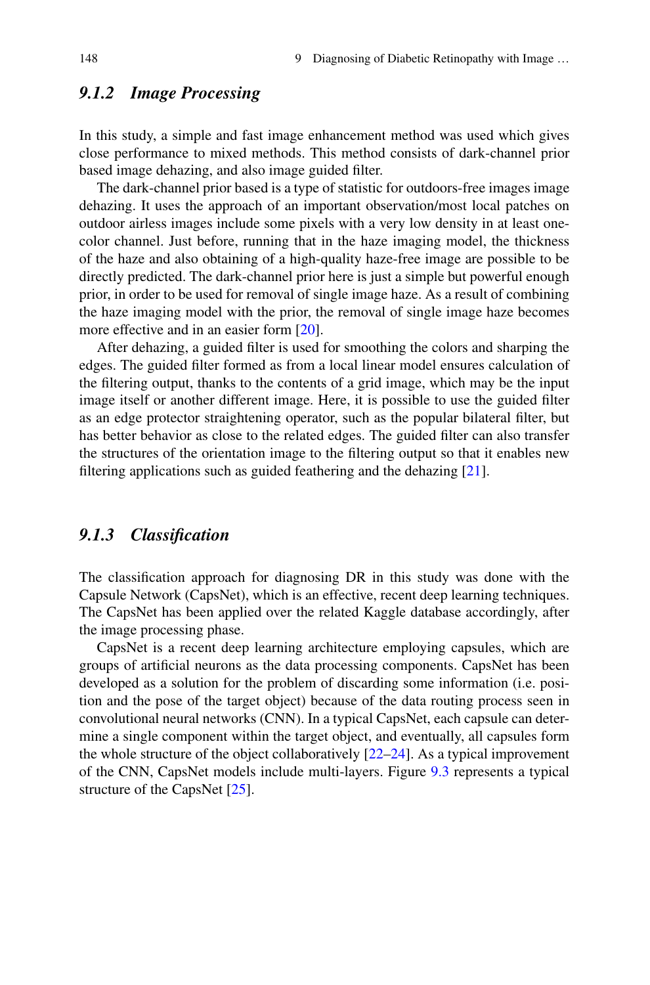## *9.1.2 Image Processing*

In this study, a simple and fast image enhancement method was used which gives close performance to mixed methods. This method consists of dark-channel prior based image dehazing, and also image guided filter.

The dark-channel prior based is a type of statistic for outdoors-free images image dehazing. It uses the approach of an important observation/most local patches on outdoor airless images include some pixels with a very low density in at least onecolor channel. Just before, running that in the haze imaging model, the thickness of the haze and also obtaining of a high-quality haze-free image are possible to be directly predicted. The dark-channel prior here is just a simple but powerful enough prior, in order to be used for removal of single image haze. As a result of combining the haze imaging model with the prior, the removal of single image haze becomes more effective and in an easier form [\[20\]](#page-9-6).

After dehazing, a guided filter is used for smoothing the colors and sharping the edges. The guided filter formed as from a local linear model ensures calculation of the filtering output, thanks to the contents of a grid image, which may be the input image itself or another different image. Here, it is possible to use the guided filter as an edge protector straightening operator, such as the popular bilateral filter, but has better behavior as close to the related edges. The guided filter can also transfer the structures of the orientation image to the filtering output so that it enables new filtering applications such as guided feathering and the dehazing [\[21\]](#page-9-7).

# *9.1.3 Classification*

The classification approach for diagnosing DR in this study was done with the Capsule Network (CapsNet), which is an effective, recent deep learning techniques. The CapsNet has been applied over the related Kaggle database accordingly, after the image processing phase.

CapsNet is a recent deep learning architecture employing capsules, which are groups of artificial neurons as the data processing components. CapsNet has been developed as a solution for the problem of discarding some information (i.e. position and the pose of the target object) because of the data routing process seen in convolutional neural networks (CNN). In a typical CapsNet, each capsule can determine a single component within the target object, and eventually, all capsules form the whole structure of the object collaboratively [\[22](#page-9-8)[–24\]](#page-9-9). As a typical improvement of the CNN, CapsNet models include multi-layers. Figure [9.3](#page-4-0) represents a typical structure of the CapsNet [\[25\]](#page-9-10).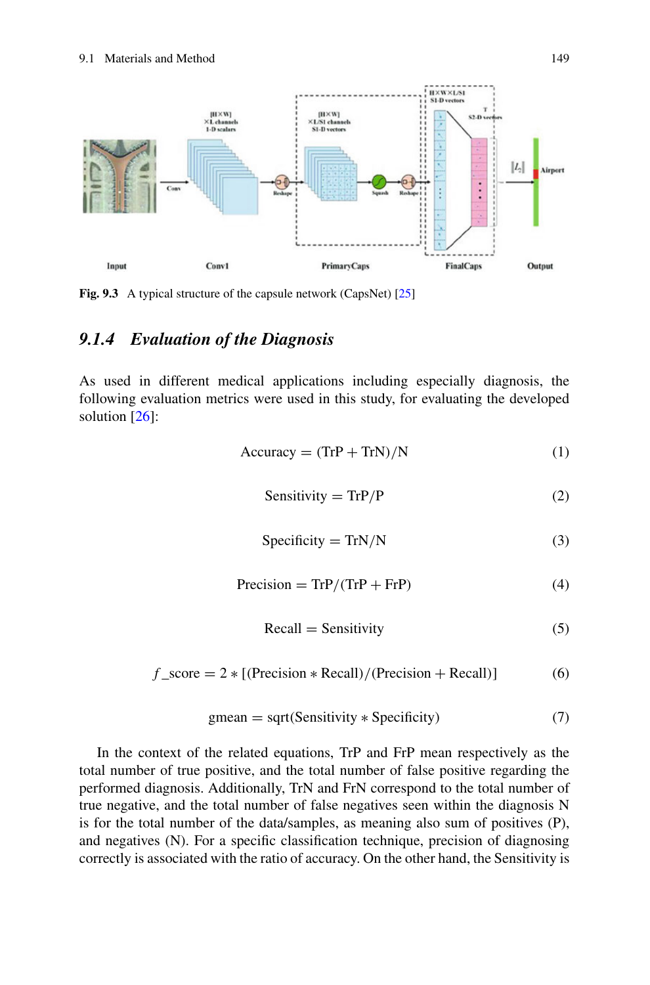

<span id="page-4-0"></span>Fig. 9.3 A typical structure of the capsule network (CapsNet) [\[25\]](#page-9-10)

# *9.1.4 Evaluation of the Diagnosis*

As used in different medical applications including especially diagnosis, the following evaluation metrics were used in this study, for evaluating the developed solution [\[26\]](#page-9-11):

$$
Accuracy = (TrP + TrN)/N
$$
 (1)

$$
Sensitivity = TrP/P
$$
 (2)

$$
Specificity = TrN/N
$$
 (3)

$$
Precision = TrP/(TrP + FrP)
$$
 (4)

$$
Recall = Sensitivity \tag{5}
$$

$$
f_{\text{--score}} = 2 * [(Precision * Recall)/(Precision + Recall)] \tag{6}
$$

$$
gmean = sqrt(Sensitivity * Specificity)
$$
 (7)

In the context of the related equations, TrP and FrP mean respectively as the total number of true positive, and the total number of false positive regarding the performed diagnosis. Additionally, TrN and FrN correspond to the total number of true negative, and the total number of false negatives seen within the diagnosis N is for the total number of the data/samples, as meaning also sum of positives (P), and negatives (N). For a specific classification technique, precision of diagnosing correctly is associated with the ratio of accuracy. On the other hand, the Sensitivity is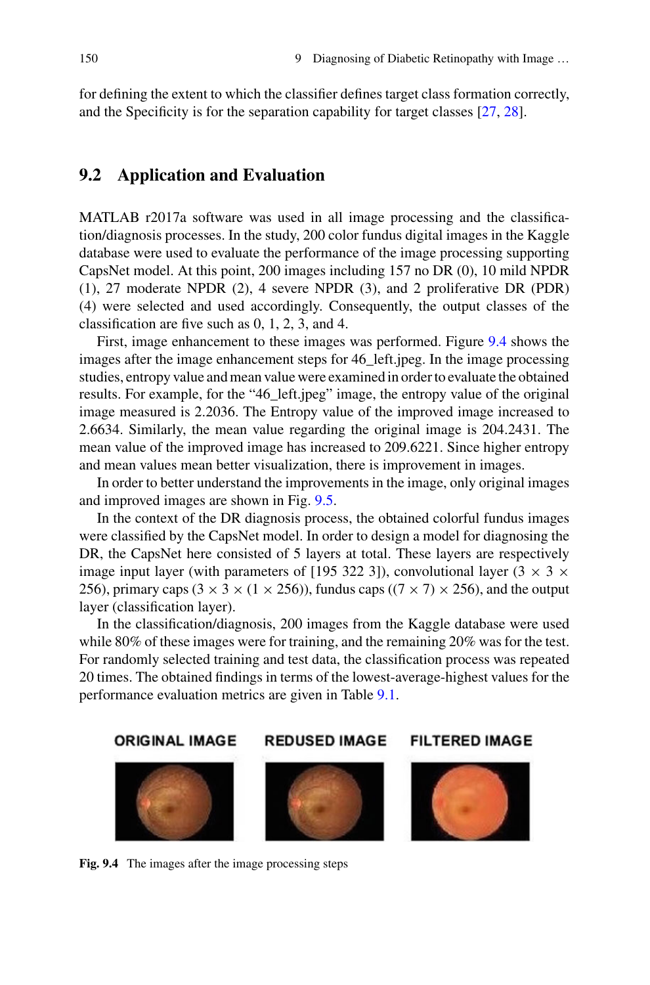for defining the extent to which the classifier defines target class formation correctly, and the Specificity is for the separation capability for target classes [\[27,](#page-9-12) [28\]](#page-9-13).

#### **9.2 Application and Evaluation**

MATLAB r2017a software was used in all image processing and the classification/diagnosis processes. In the study, 200 color fundus digital images in the Kaggle database were used to evaluate the performance of the image processing supporting CapsNet model. At this point, 200 images including 157 no DR (0), 10 mild NPDR (1), 27 moderate NPDR (2), 4 severe NPDR (3), and 2 proliferative DR (PDR) (4) were selected and used accordingly. Consequently, the output classes of the classification are five such as 0, 1, 2, 3, and 4.

First, image enhancement to these images was performed. Figure [9.4](#page-5-0) shows the images after the image enhancement steps for 46\_left.jpeg. In the image processing studies, entropy value and mean value were examined in order to evaluate the obtained results. For example, for the "46\_left.jpeg" image, the entropy value of the original image measured is 2.2036. The Entropy value of the improved image increased to 2.6634. Similarly, the mean value regarding the original image is 204.2431. The mean value of the improved image has increased to 209.6221. Since higher entropy and mean values mean better visualization, there is improvement in images.

In order to better understand the improvements in the image, only original images and improved images are shown in Fig. [9.5.](#page-6-0)

In the context of the DR diagnosis process, the obtained colorful fundus images were classified by the CapsNet model. In order to design a model for diagnosing the DR, the CapsNet here consisted of 5 layers at total. These layers are respectively image input layer (with parameters of [195 322 3]), convolutional layer (3  $\times$  3  $\times$ 256), primary caps  $(3 \times 3 \times (1 \times 256))$ , fundus caps  $((7 \times 7) \times 256)$ , and the output layer (classification layer).

In the classification/diagnosis, 200 images from the Kaggle database were used while 80% of these images were for training, and the remaining 20% was for the test. For randomly selected training and test data, the classification process was repeated 20 times. The obtained findings in terms of the lowest-average-highest values for the performance evaluation metrics are given in Table [9.1.](#page-6-1)



<span id="page-5-0"></span>Fig. 9.4 The images after the image processing steps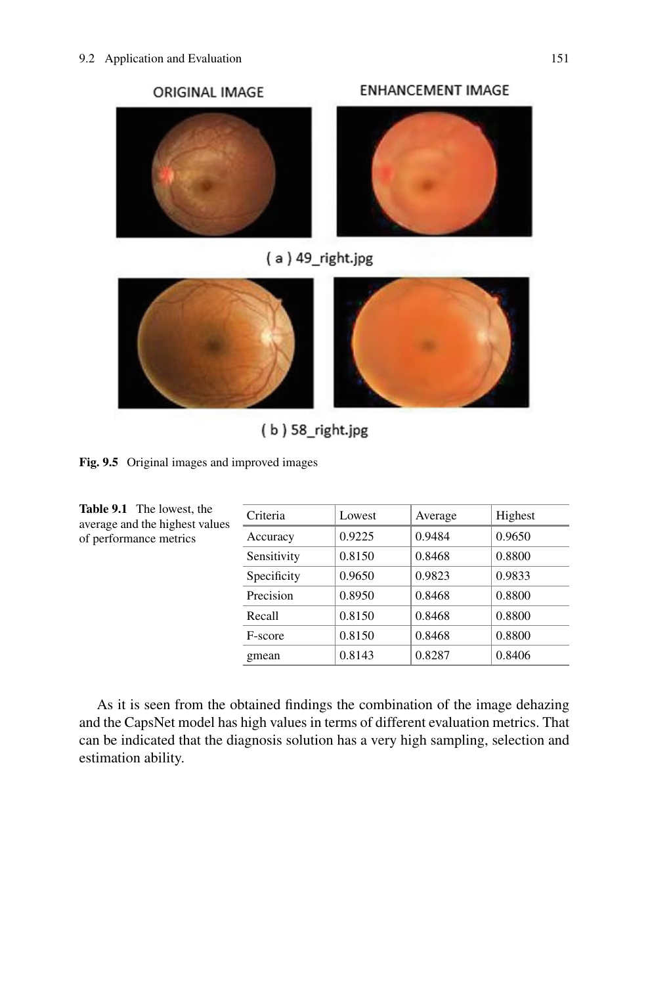



**ENHANCEMENT IMAGE** 

 $(a)$  49\_right.jpg



 $(b)$  58\_right.jpg

<span id="page-6-0"></span>

<span id="page-6-1"></span>**Table 9.1** The lowest, the average and the highest values of performance metrics

| Criteria       | Lowest | Average | Highest |
|----------------|--------|---------|---------|
| Accuracy       | 0.9225 | 0.9484  | 0.9650  |
| Sensitivity    | 0.8150 | 0.8468  | 0.8800  |
| Specificity    | 0.9650 | 0.9823  | 0.9833  |
| Precision      | 0.8950 | 0.8468  | 0.8800  |
| Recall         | 0.8150 | 0.8468  | 0.8800  |
| <b>F-score</b> | 0.8150 | 0.8468  | 0.8800  |
| gmean          | 0.8143 | 0.8287  | 0.8406  |

As it is seen from the obtained findings the combination of the image dehazing and the CapsNet model has high values in terms of different evaluation metrics. That can be indicated that the diagnosis solution has a very high sampling, selection and estimation ability.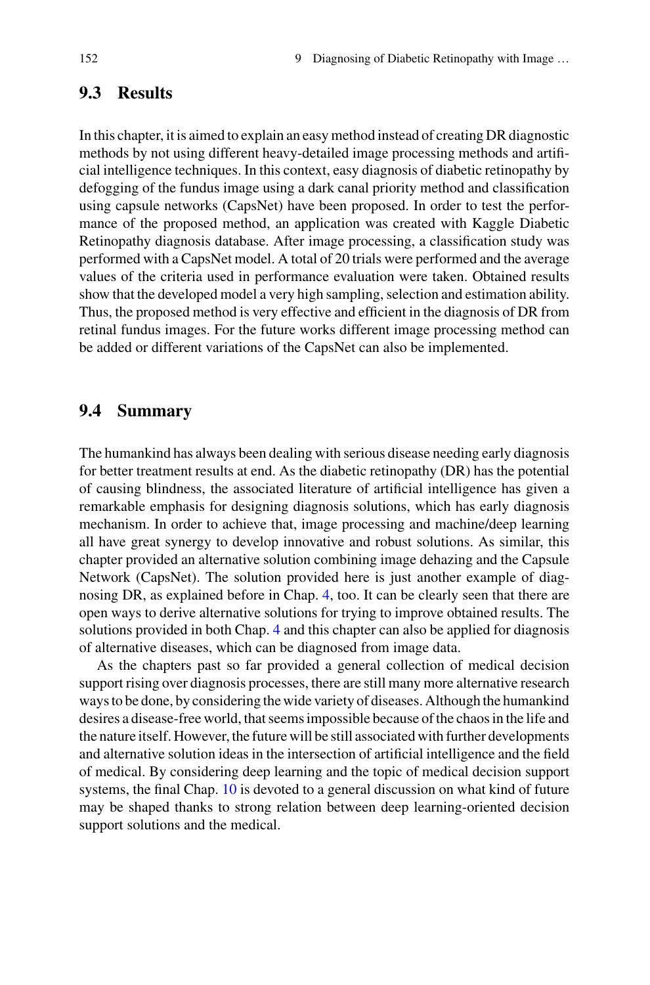#### **9.3 Results**

In this chapter, it is aimed to explain an easy method instead of creating DR diagnostic methods by not using different heavy-detailed image processing methods and artificial intelligence techniques. In this context, easy diagnosis of diabetic retinopathy by defogging of the fundus image using a dark canal priority method and classification using capsule networks (CapsNet) have been proposed. In order to test the performance of the proposed method, an application was created with Kaggle Diabetic Retinopathy diagnosis database. After image processing, a classification study was performed with a CapsNet model. A total of 20 trials were performed and the average values of the criteria used in performance evaluation were taken. Obtained results show that the developed model a very high sampling, selection and estimation ability. Thus, the proposed method is very effective and efficient in the diagnosis of DR from retinal fundus images. For the future works different image processing method can be added or different variations of the CapsNet can also be implemented.

#### **9.4 Summary**

The humankind has always been dealing with serious disease needing early diagnosis for better treatment results at end. As the diabetic retinopathy (DR) has the potential of causing blindness, the associated literature of artificial intelligence has given a remarkable emphasis for designing diagnosis solutions, which has early diagnosis mechanism. In order to achieve that, image processing and machine/deep learning all have great synergy to develop innovative and robust solutions. As similar, this chapter provided an alternative solution combining image dehazing and the Capsule Network (CapsNet). The solution provided here is just another example of diagnosing DR, as explained before in Chap. 4, too. It can be clearly seen that there are open ways to derive alternative solutions for trying to improve obtained results. The solutions provided in both Chap. 4 and this chapter can also be applied for diagnosis of alternative diseases, which can be diagnosed from image data.

As the chapters past so far provided a general collection of medical decision support rising over diagnosis processes, there are still many more alternative research ways to be done, by considering the wide variety of diseases. Although the humankind desires a disease-free world, that seems impossible because of the chaos in the life and the nature itself. However, the future will be still associated with further developments and alternative solution ideas in the intersection of artificial intelligence and the field of medical. By considering deep learning and the topic of medical decision support systems, the final Chap. 10 is devoted to a general discussion on what kind of future may be shaped thanks to strong relation between deep learning-oriented decision support solutions and the medical.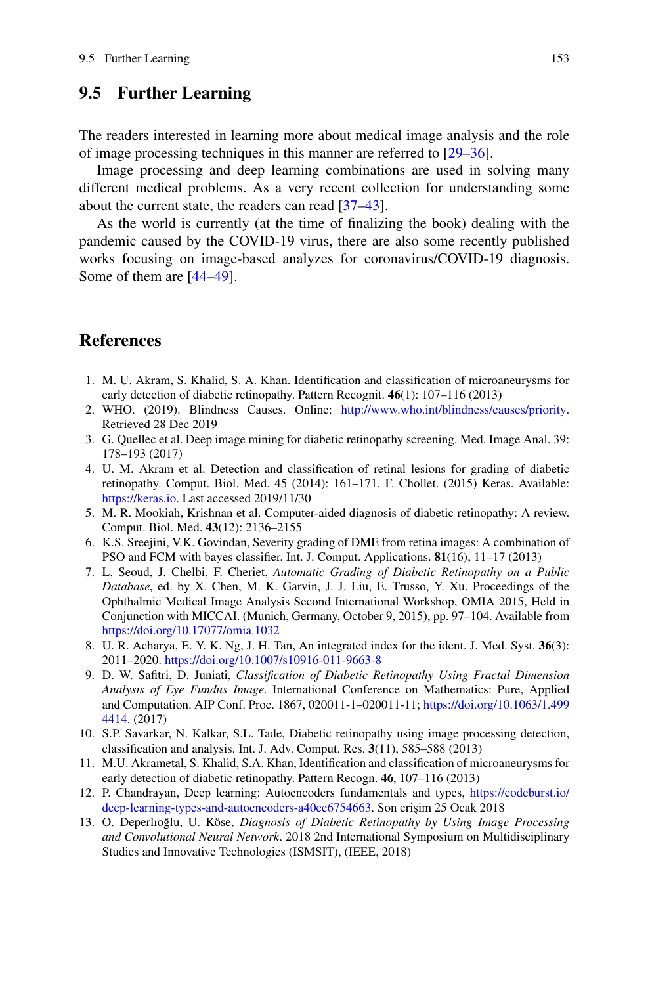### **9.5 Further Learning**

The readers interested in learning more about medical image analysis and the role of image processing techniques in this manner are referred to [\[29](#page-9-14)[–36\]](#page-9-15).

Image processing and deep learning combinations are used in solving many different medical problems. As a very recent collection for understanding some about the current state, the readers can read [\[37–](#page-9-16)[43\]](#page-10-0).

As the world is currently (at the time of finalizing the book) dealing with the pandemic caused by the COVID-19 virus, there are also some recently published works focusing on image-based analyzes for coronavirus/COVID-19 diagnosis. Some of them are [\[44–](#page-10-1)[49\]](#page-10-2).

#### **References**

- <span id="page-8-0"></span>1. M. U. Akram, S. Khalid, S. A. Khan. Identification and classification of microaneurysms for early detection of diabetic retinopathy. Pattern Recognit. **46**(1): 107–116 (2013)
- <span id="page-8-1"></span>2. WHO. (2019). Blindness Causes. Online: [http://www.who.int/blindness/causes/priority.](http://www.who.int/blindness/causes/priority) Retrieved 28 Dec 2019
- <span id="page-8-2"></span>3. G. Quellec et al. Deep image mining for diabetic retinopathy screening. Med. Image Anal. 39: 178–193 (2017)
- <span id="page-8-3"></span>4. U. M. Akram et al. Detection and classification of retinal lesions for grading of diabetic retinopathy. Comput. Biol. Med. 45 (2014): 161–171. F. Chollet. (2015) Keras. Available: [https://keras.io.](https://keras.io) Last accessed 2019/11/30
- <span id="page-8-4"></span>5. M. R. Mookiah, Krishnan et al. Computer-aided diagnosis of diabetic retinopathy: A review. Comput. Biol. Med. **43**(12): 2136–2155
- <span id="page-8-5"></span>6. K.S. Sreejini, V.K. Govindan, Severity grading of DME from retina images: A combination of PSO and FCM with bayes classifier. Int. J. Comput. Applications. **81**(16), 11–17 (2013)
- <span id="page-8-6"></span>7. L. Seoud, J. Chelbi, F. Cheriet, *Automatic Grading of Diabetic Retinopathy on a Public Database*, ed. by X. Chen, M. K. Garvin, J. J. Liu, E. Trusso, Y. Xu. Proceedings of the Ophthalmic Medical Image Analysis Second International Workshop, OMIA 2015, Held in Conjunction with MICCAI. (Munich, Germany, October 9, 2015), pp. 97–104. Available from <https://doi.org/10.17077/omia.1032>
- <span id="page-8-7"></span>8. U. R. Acharya, E. Y. K. Ng, J. H. Tan, An integrated index for the ident. J. Med. Syst. **36**(3): 2011–2020. <https://doi.org/10.1007/s10916-011-9663-8>
- <span id="page-8-8"></span>9. D. W. Safitri, D. Juniati, *Classification of Diabetic Retinopathy Using Fractal Dimension Analysis of Eye Fundus Image*. International Conference on Mathematics: Pure, Applied [and Computation. AIP Conf. Proc. 1867, 020011-1–020011-11;](https://doi.org/10.1063/1.4994414) https://doi.org/10.1063/1.499 4414. (2017)
- <span id="page-8-9"></span>10. S.P. Savarkar, N. Kalkar, S.L. Tade, Diabetic retinopathy using image processing detection, classification and analysis. Int. J. Adv. Comput. Res. **3**(11), 585–588 (2013)
- <span id="page-8-10"></span>11. M.U. Akrametal, S. Khalid, S.A. Khan, Identification and classification of microaneurysms for early detection of diabetic retinopathy. Pattern Recogn. **46**, 107–116 (2013)
- <span id="page-8-11"></span>12. P. Chandrayan, Deep learning: Autoencoders fundamentals and types, https://codeburst.io/ deep-learning-types-and-autoencoders-a40ee6754663. Son erişim 25 Ocak 2018
- <span id="page-8-12"></span>13. O. Deperlioğlu, U. Köse, *Diagnosis of Diabetic Retinopathy by Using Image Processing and Convolutional Neural Network*. 2018 2nd International Symposium on Multidisciplinary Studies and Innovative Technologies (ISMSIT), (IEEE, 2018)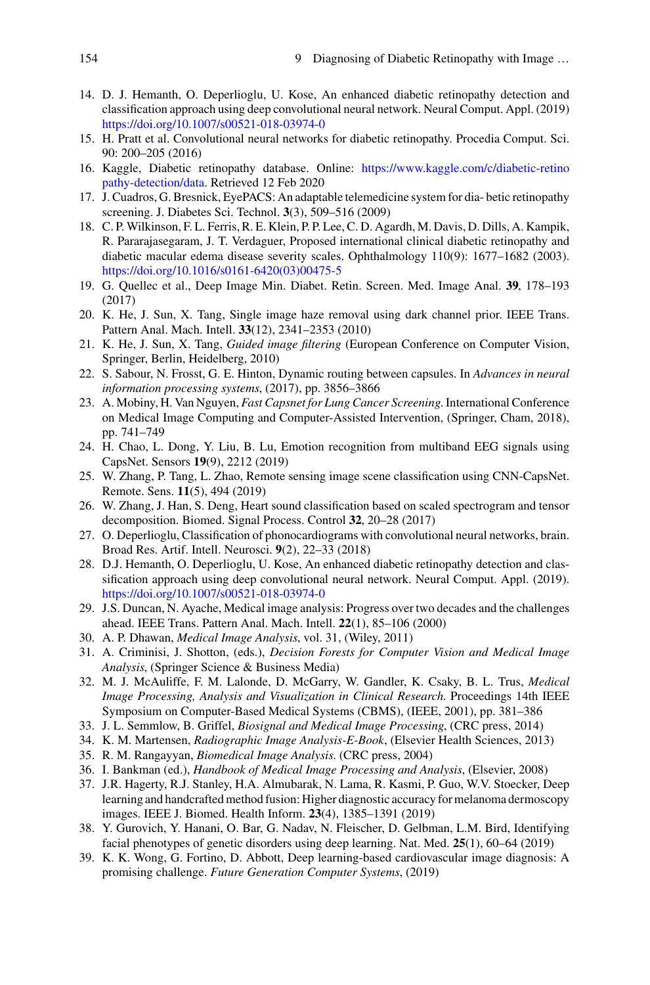- <span id="page-9-0"></span>14. D. J. Hemanth, O. Deperlioglu, U. Kose, An enhanced diabetic retinopathy detection and classification approach using deep convolutional neural network. Neural Comput. Appl. (2019) <https://doi.org/10.1007/s00521-018-03974-0>
- <span id="page-9-1"></span>15. H. Pratt et al. Convolutional neural networks for diabetic retinopathy. Procedia Comput. Sci. 90: 200–205 (2016)
- <span id="page-9-2"></span>16. [Kaggle, Diabetic retinopathy database. Online:](https://www.kaggle.com/c/diabetic-retinopathy-detection/data) https://www.kaggle.com/c/diabetic-retino pathy-detection/data. Retrieved 12 Feb 2020
- <span id="page-9-3"></span>17. J. Cuadros, G. Bresnick, EyePACS: An adaptable telemedicine system for dia- betic retinopathy screening. J. Diabetes Sci. Technol. **3**(3), 509–516 (2009)
- <span id="page-9-4"></span>18. C. P. Wilkinson, F. L. Ferris, R. E. Klein, P. P. Lee, C. D. Agardh, M. Davis, D. Dills, A. Kampik, R. Pararajasegaram, J. T. Verdaguer, Proposed international clinical diabetic retinopathy and diabetic macular edema disease severity scales. Ophthalmology 110(9): 1677–1682 (2003). [https://doi.org/10.1016/s0161-6420\(03\)00475-5](https://doi.org/10.1016/s0161-6420(03)00475-5)
- <span id="page-9-5"></span>19. G. Quellec et al., Deep Image Min. Diabet. Retin. Screen. Med. Image Anal. **39**, 178–193 (2017)
- <span id="page-9-6"></span>20. K. He, J. Sun, X. Tang, Single image haze removal using dark channel prior. IEEE Trans. Pattern Anal. Mach. Intell. **33**(12), 2341–2353 (2010)
- <span id="page-9-7"></span>21. K. He, J. Sun, X. Tang, *Guided image filtering* (European Conference on Computer Vision, Springer, Berlin, Heidelberg, 2010)
- <span id="page-9-8"></span>22. S. Sabour, N. Frosst, G. E. Hinton, Dynamic routing between capsules. In *Advances in neural information processing systems*, (2017), pp. 3856–3866
- 23. A. Mobiny, H. Van Nguyen, *Fast Capsnet for Lung Cancer Screening*. International Conference on Medical Image Computing and Computer-Assisted Intervention, (Springer, Cham, 2018), pp. 741–749
- <span id="page-9-9"></span>24. H. Chao, L. Dong, Y. Liu, B. Lu, Emotion recognition from multiband EEG signals using CapsNet. Sensors **19**(9), 2212 (2019)
- <span id="page-9-10"></span>25. W. Zhang, P. Tang, L. Zhao, Remote sensing image scene classification using CNN-CapsNet. Remote. Sens. **11**(5), 494 (2019)
- <span id="page-9-11"></span>26. W. Zhang, J. Han, S. Deng, Heart sound classification based on scaled spectrogram and tensor decomposition. Biomed. Signal Process. Control **32**, 20–28 (2017)
- <span id="page-9-12"></span>27. O. Deperlioglu, Classification of phonocardiograms with convolutional neural networks, brain. Broad Res. Artif. Intell. Neurosci. **9**(2), 22–33 (2018)
- <span id="page-9-13"></span>28. D.J. Hemanth, O. Deperlioglu, U. Kose, An enhanced diabetic retinopathy detection and classification approach using deep convolutional neural network. Neural Comput. Appl. (2019). <https://doi.org/10.1007/s00521-018-03974-0>
- <span id="page-9-14"></span>29. J.S. Duncan, N. Ayache, Medical image analysis: Progress over two decades and the challenges ahead. IEEE Trans. Pattern Anal. Mach. Intell. **22**(1), 85–106 (2000)
- 30. A. P. Dhawan, *Medical Image Analysis*, vol. 31, (Wiley, 2011)
- 31. A. Criminisi, J. Shotton, (eds.), *Decision Forests for Computer Vision and Medical Image Analysis*, (Springer Science & Business Media)
- 32. M. J. McAuliffe, F. M. Lalonde, D. McGarry, W. Gandler, K. Csaky, B. L. Trus, *Medical Image Processing, Analysis and Visualization in Clinical Research*. Proceedings 14th IEEE Symposium on Computer-Based Medical Systems (CBMS), (IEEE, 2001), pp. 381–386
- 33. J. L. Semmlow, B. Griffel, *Biosignal and Medical Image Processing*, (CRC press, 2014)
- 34. K. M. Martensen, *Radiographic Image Analysis-E-Book*, (Elsevier Health Sciences, 2013)
- 35. R. M. Rangayyan, *Biomedical Image Analysis*. (CRC press, 2004)
- <span id="page-9-15"></span>36. I. Bankman (ed.), *Handbook of Medical Image Processing and Analysis*, (Elsevier, 2008)
- <span id="page-9-16"></span>37. J.R. Hagerty, R.J. Stanley, H.A. Almubarak, N. Lama, R. Kasmi, P. Guo, W.V. Stoecker, Deep learning and handcrafted method fusion: Higher diagnostic accuracy for melanoma dermoscopy images. IEEE J. Biomed. Health Inform. **23**(4), 1385–1391 (2019)
- 38. Y. Gurovich, Y. Hanani, O. Bar, G. Nadav, N. Fleischer, D. Gelbman, L.M. Bird, Identifying facial phenotypes of genetic disorders using deep learning. Nat. Med. **25**(1), 60–64 (2019)
- 39. K. K. Wong, G. Fortino, D. Abbott, Deep learning-based cardiovascular image diagnosis: A promising challenge. *Future Generation Computer Systems*, (2019)